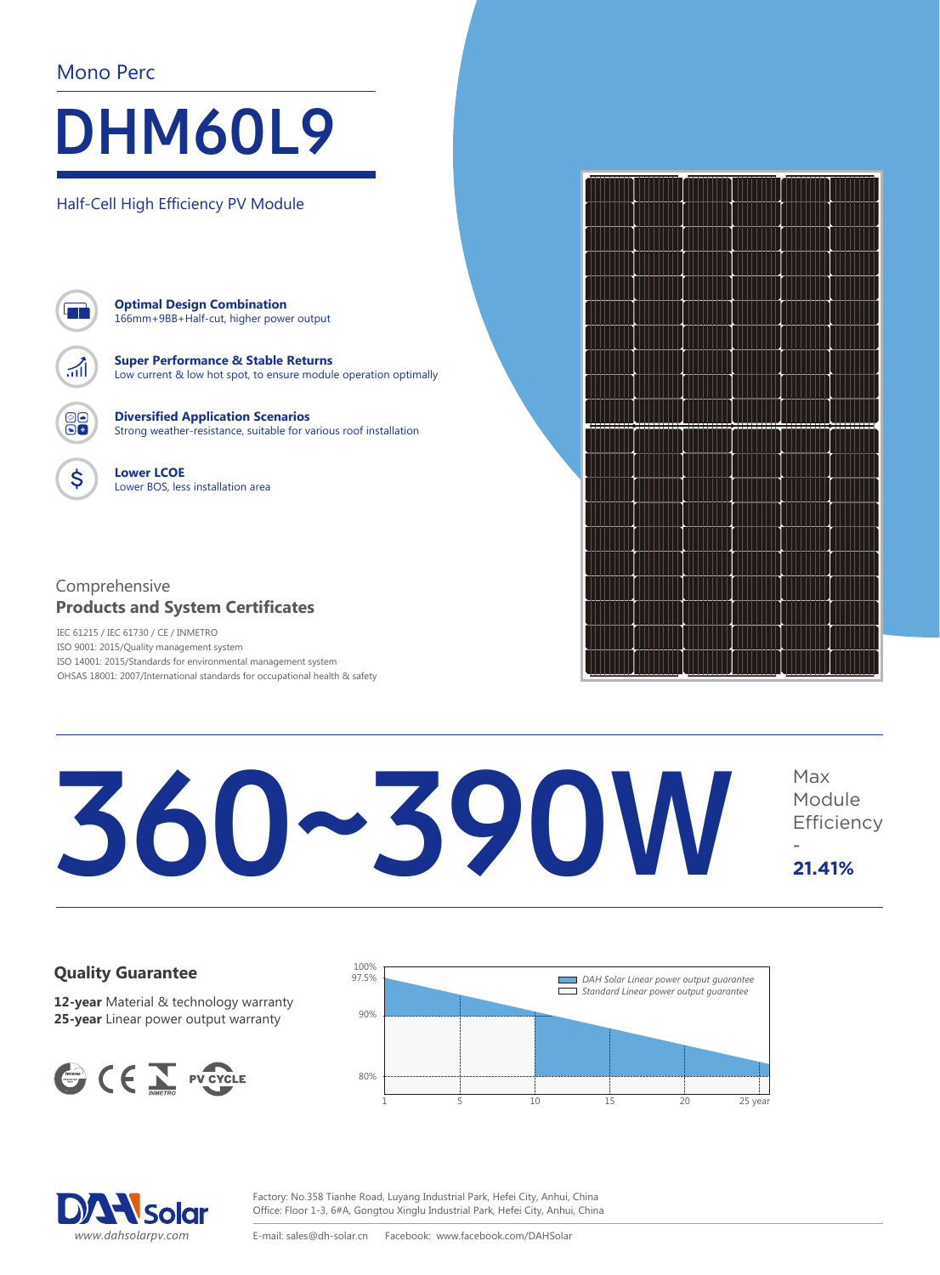### Mono Perc

## DHM60L9

Half-Cell High Efficiency PV Module



\$

**Optimal Design Combination** 166mm+9BB+Half-cut, higher power output

**Super Performance & Stable Returns** Low current & low hot spot, to ensure module operation optimally

**Diversified Application Scenarios** Strong weather-resistance, suitable for various roof installation

**Lower LCOE** Lower BOS, less installation area

### Comprehensive **Products and System Certificates**

IEC 61215 / IEC 61730 / CE / INMETRO ISO 9001: 2015/Quality management system ISO 14001: 2015/Standards for environmental management system OHSAS 18001: 2007/International standards for occupational health & safety

# Europe<br>Solar<br>Production



### 360~390W Module **Efficiency** - **21.41%**

### **Quality Guarantee**

**12-year** Material & technology warranty **25-year** Linear power output warranty







**Partner Europe: PVM-Solar Production U.G. Pappenheimstr. 11, 80335 München GERMANY**

Purope Solar 11 Production http://www.europe-solarproduction.com